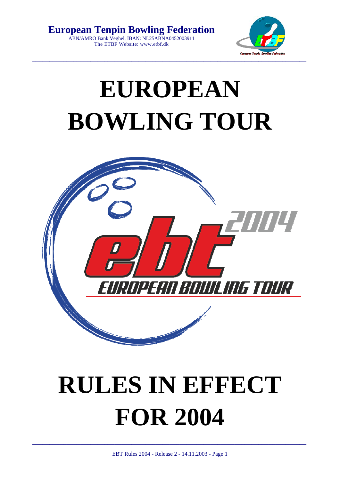**European Tenpin Bowling Federation**  ABN/AMRO Bank Veghel, IBAN: NL25ABNA0452003911 The ETBF Website: www.etbf.dk



## **EUROPEAN BOWLING TOUR**



# **RULES IN EFFECT FOR 2004**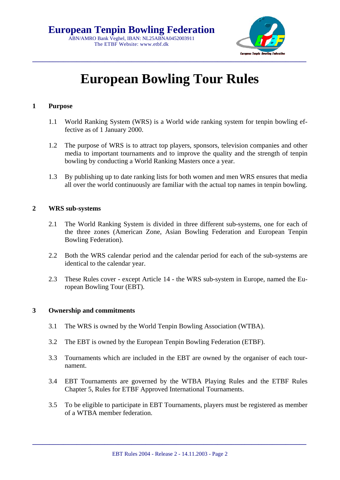

### **European Bowling Tour Rules**

#### **1 Purpose**

- 1.1 World Ranking System (WRS) is a World wide ranking system for tenpin bowling effective as of 1 January 2000.
- 1.2 The purpose of WRS is to attract top players, sponsors, television companies and other media to important tournaments and to improve the quality and the strength of tenpin bowling by conducting a World Ranking Masters once a year.
- 1.3 By publishing up to date ranking lists for both women and men WRS ensures that media all over the world continuously are familiar with the actual top names in tenpin bowling.

#### **2 WRS sub-systems**

- 2.1 The World Ranking System is divided in three different sub-systems, one for each of the three zones (American Zone, Asian Bowling Federation and European Tenpin Bowling Federation).
- 2.2 Both the WRS calendar period and the calendar period for each of the sub-systems are identical to the calendar year.
- 2.3 These Rules cover except Article 14 the WRS sub-system in Europe, named the European Bowling Tour (EBT).

#### **3 Ownership and commitments**

- 3.1 The WRS is owned by the World Tenpin Bowling Association (WTBA).
- 3.2 The EBT is owned by the European Tenpin Bowling Federation (ETBF).
- 3.3 Tournaments which are included in the EBT are owned by the organiser of each tournament.
- 3.4 EBT Tournaments are governed by the WTBA Playing Rules and the ETBF Rules Chapter 5, Rules for ETBF Approved International Tournaments.
- 3.5 To be eligible to participate in EBT Tournaments, players must be registered as member of a WTBA member federation.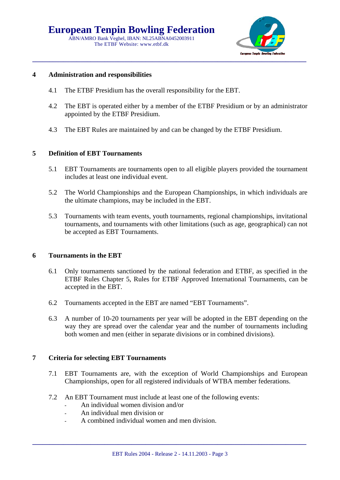

#### **4 Administration and responsibilities**

- 4.1 The ETBF Presidium has the overall responsibility for the EBT.
- 4.2 The EBT is operated either by a member of the ETBF Presidium or by an administrator appointed by the ETBF Presidium.
- 4.3 The EBT Rules are maintained by and can be changed by the ETBF Presidium.

#### **5 Definition of EBT Tournaments**

- 5.1 EBT Tournaments are tournaments open to all eligible players provided the tournament includes at least one individual event.
- 5.2 The World Championships and the European Championships, in which individuals are the ultimate champions, may be included in the EBT.
- 5.3 Tournaments with team events, youth tournaments, regional championships, invitational tournaments, and tournaments with other limitations (such as age, geographical) can not be accepted as EBT Tournaments.

#### **6 Tournaments in the EBT**

- 6.1 Only tournaments sanctioned by the national federation and ETBF, as specified in the ETBF Rules Chapter 5, Rules for ETBF Approved International Tournaments, can be accepted in the EBT.
- 6.2 Tournaments accepted in the EBT are named "EBT Tournaments".
- 6.3 A number of 10-20 tournaments per year will be adopted in the EBT depending on the way they are spread over the calendar year and the number of tournaments including both women and men (either in separate divisions or in combined divisions).

#### **7 Criteria for selecting EBT Tournaments**

- 7.1 EBT Tournaments are, with the exception of World Championships and European Championships, open for all registered individuals of WTBA member federations.
- 7.2 An EBT Tournament must include at least one of the following events:
	- An individual women division and/or
	- An individual men division or
	- A combined individual women and men division.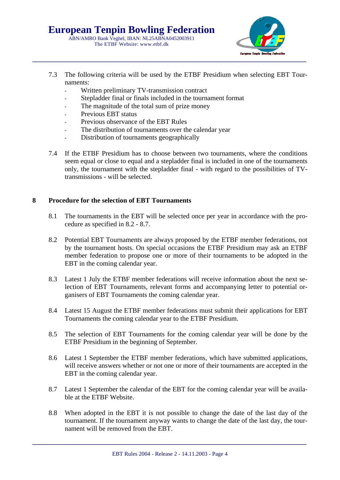

- 7.3 The following criteria will be used by the ETBF Presidium when selecting EBT Tournaments:
	- Written preliminary TV-transmission contract
	- Stepladder final or finals included in the tournament format
	- The magnitude of the total sum of prize money
	- Previous EBT status
	- Previous observance of the EBT Rules
	- The distribution of tournaments over the calendar year
	- Distribution of tournaments geographically
- 7.4 If the ETBF Presidium has to choose between two tournaments, where the conditions seem equal or close to equal and a stepladder final is included in one of the tournaments only, the tournament with the stepladder final - with regard to the possibilities of TVtransmissions - will be selected.

#### **8 Procedure for the selection of EBT Tournaments**

- 8.1 The tournaments in the EBT will be selected once per year in accordance with the procedure as specified in 8.2 - 8.7.
- 8.2 Potential EBT Tournaments are always proposed by the ETBF member federations, not by the tournament hosts. On special occasions the ETBF Presidium may ask an ETBF member federation to propose one or more of their tournaments to be adopted in the EBT in the coming calendar year.
- 8.3 Latest 1 July the ETBF member federations will receive information about the next selection of EBT Tournaments, relevant forms and accompanying letter to potential organisers of EBT Tournaments the coming calendar year.
- 8.4 Latest 15 August the ETBF member federations must submit their applications for EBT Tournaments the coming calendar year to the ETBF Presidium.
- 8.5 The selection of EBT Tournaments for the coming calendar year will be done by the ETBF Presidium in the beginning of September.
- 8.6 Latest 1 September the ETBF member federations, which have submitted applications, will receive answers whether or not one or more of their tournaments are accepted in the EBT in the coming calendar year.
- 8.7 Latest 1 September the calendar of the EBT for the coming calendar year will be available at the ETBF Website.
- 8.8 When adopted in the EBT it is not possible to change the date of the last day of the tournament. If the tournament anyway wants to change the date of the last day, the tournament will be removed from the EBT.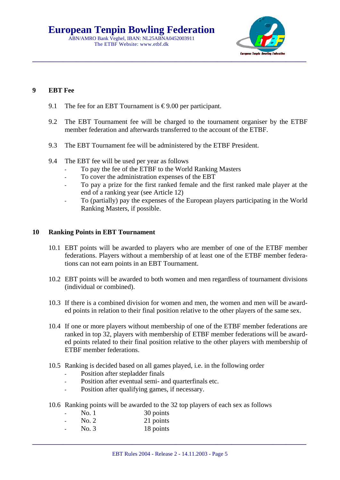### **European Tenpin Bowling Federation**

ABN/AMRO Bank Veghel, IBAN: NL25ABNA0452003911 The ETBF Website: www.etbf.dk



#### **9 EBT Fee**

- 9.1 The fee for an EBT Tournament is  $\epsilon$ 9.00 per participant.
- 9.2 The EBT Tournament fee will be charged to the tournament organiser by the ETBF member federation and afterwards transferred to the account of the ETBF.
- 9.3 The EBT Tournament fee will be administered by the ETBF President.
- 9.4 The EBT fee will be used per year as follows
	- To pay the fee of the ETBF to the World Ranking Masters
	- To cover the administration expenses of the EBT
	- To pay a prize for the first ranked female and the first ranked male player at the end of a ranking year (see Article 12)
	- To (partially) pay the expenses of the European players participating in the World Ranking Masters, if possible.

#### **10 Ranking Points in EBT Tournament**

- 10.1 EBT points will be awarded to players who are member of one of the ETBF member federations. Players without a membership of at least one of the ETBF member federations can not earn points in an EBT Tournament.
- 10.2 EBT points will be awarded to both women and men regardless of tournament divisions (individual or combined).
- 10.3 If there is a combined division for women and men, the women and men will be awarded points in relation to their final position relative to the other players of the same sex.
- 10.4 If one or more players without membership of one of the ETBF member federations are ranked in top 32, players with membership of ETBF member federations will be awarded points related to their final position relative to the other players with membership of ETBF member federations.
- 10.5 Ranking is decided based on all games played, i.e. in the following order
	- Position after stepladder finals
	- Position after eventual semi- and quarterfinals etc.
	- Position after qualifying games, if necessary.
- 10.6 Ranking points will be awarded to the 32 top players of each sex as follows

| No. 1 | 30 points |
|-------|-----------|
| No. 2 | 21 points |
|       |           |

No. 3 18 points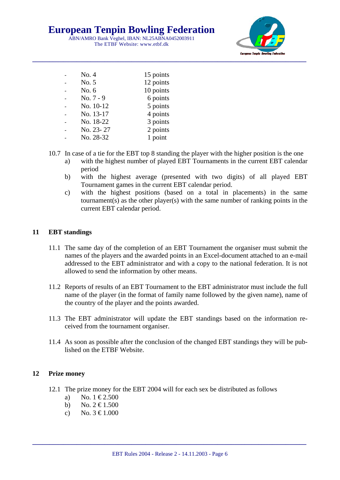**European Tenpin Bowling Federation** 

ABN/AMRO Bank Veghel, IBAN: NL25ABNA0452003911 The ETBF Website: www.etbf.dk



| No. 4       | 15 points |
|-------------|-----------|
| No. 5       | 12 points |
| No. $6$     | 10 points |
| $No. 7 - 9$ | 6 points  |
| No. 10-12   | 5 points  |
| No. 13-17   | 4 points  |
| No. 18-22   | 3 points  |
| No. 23-27   | 2 points  |
| No. 28-32   | 1 point   |
|             |           |

- 10.7 In case of a tie for the EBT top 8 standing the player with the higher position is the one
	- a) with the highest number of played EBT Tournaments in the current EBT calendar period
	- b) with the highest average (presented with two digits) of all played EBT Tournament games in the current EBT calendar period.
	- c) with the highest positions (based on a total in placements) in the same tournament(s) as the other player(s) with the same number of ranking points in the current EBT calendar period.

#### **11 EBT standings**

- 11.1 The same day of the completion of an EBT Tournament the organiser must submit the names of the players and the awarded points in an Excel-document attached to an e-mail addressed to the EBT administrator and with a copy to the national federation. It is not allowed to send the information by other means.
- 11.2 Reports of results of an EBT Tournament to the EBT administrator must include the full name of the player (in the format of family name followed by the given name), name of the country of the player and the points awarded.
- 11.3 The EBT administrator will update the EBT standings based on the information received from the tournament organiser.
- 11.4 As soon as possible after the conclusion of the changed EBT standings they will be published on the ETBF Website.

#### **12 Prize money**

- 12.1 The prize money for the EBT 2004 will for each sex be distributed as follows
	- a) No.  $1 \le 2.500$
	- b) No.  $2 \text{ } \in 1.500$
	- c) No.  $3 \text{ } \in 1,000$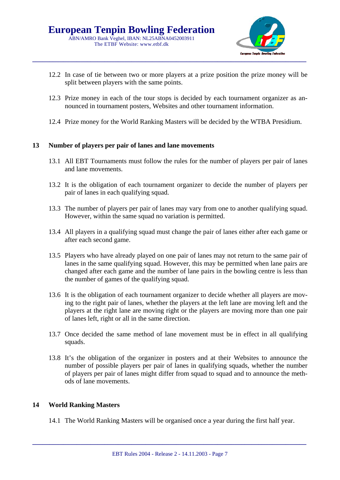

- 12.2 In case of tie between two or more players at a prize position the prize money will be split between players with the same points.
- 12.3 Prize money in each of the tour stops is decided by each tournament organizer as announced in tournament posters, Websites and other tournament information.
- 12.4 Prize money for the World Ranking Masters will be decided by the WTBA Presidium.

#### **13 Number of players per pair of lanes and lane movements**

- 13.1 All EBT Tournaments must follow the rules for the number of players per pair of lanes and lane movements.
- 13.2 It is the obligation of each tournament organizer to decide the number of players per pair of lanes in each qualifying squad.
- 13.3 The number of players per pair of lanes may vary from one to another qualifying squad. However, within the same squad no variation is permitted.
- 13.4 All players in a qualifying squad must change the pair of lanes either after each game or after each second game.
- 13.5 Players who have already played on one pair of lanes may not return to the same pair of lanes in the same qualifying squad. However, this may be permitted when lane pairs are changed after each game and the number of lane pairs in the bowling centre is less than the number of games of the qualifying squad.
- 13.6 It is the obligation of each tournament organizer to decide whether all players are moving to the right pair of lanes, whether the players at the left lane are moving left and the players at the right lane are moving right or the players are moving more than one pair of lanes left, right or all in the same direction.
- 13.7 Once decided the same method of lane movement must be in effect in all qualifying squads.
- 13.8 It's the obligation of the organizer in posters and at their Websites to announce the number of possible players per pair of lanes in qualifying squads, whether the number of players per pair of lanes might differ from squad to squad and to announce the methods of lane movements.

#### **14 World Ranking Masters**

14.1 The World Ranking Masters will be organised once a year during the first half year.